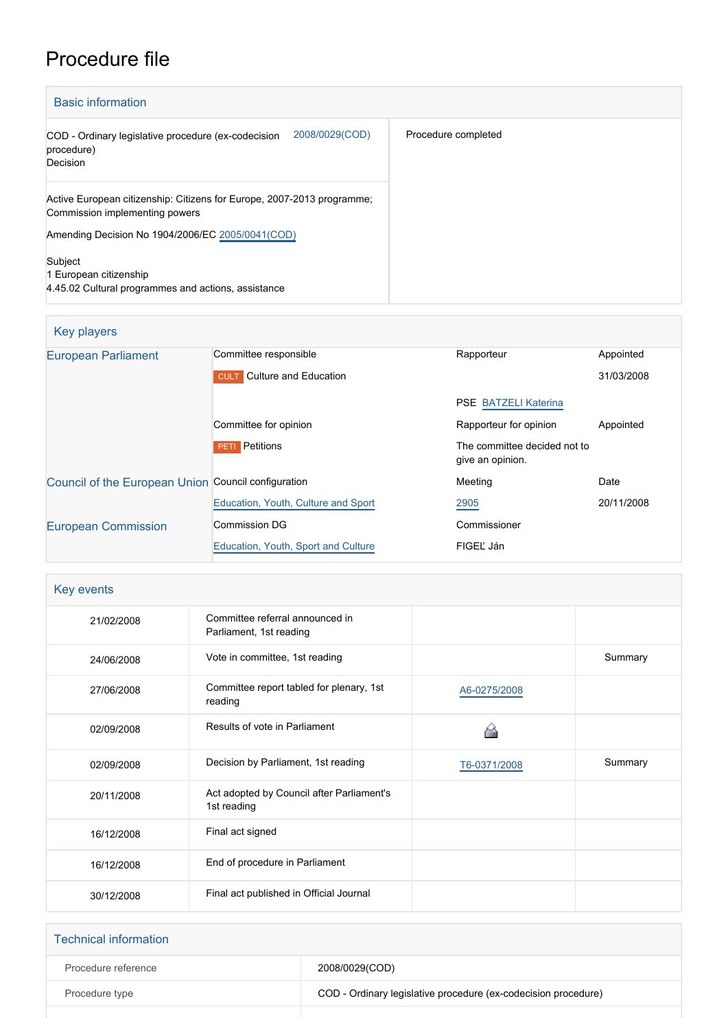# Procedure file

| <b>Basic information</b>                                                                                 |                     |
|----------------------------------------------------------------------------------------------------------|---------------------|
| 2008/0029(COD)<br>COD - Ordinary legislative procedure (ex-codecision<br>procedure)<br>Decision          | Procedure completed |
| Active European citizenship: Citizens for Europe, 2007-2013 programme;<br>Commission implementing powers |                     |
| Amending Decision No 1904/2006/EC 2005/0041(COD)                                                         |                     |
| Subject<br>1 European citizenship<br>4.45.02 Cultural programmes and actions, assistance                 |                     |

#### Key players

| <b>European Parliament</b>                          | Committee responsible                | Rapporteur                                       | Appointed  |
|-----------------------------------------------------|--------------------------------------|--------------------------------------------------|------------|
|                                                     | Culture and Education<br><b>CULT</b> |                                                  | 31/03/2008 |
|                                                     |                                      | <b>PSE BATZELI Katerina</b>                      |            |
|                                                     | Committee for opinion                | Rapporteur for opinion                           | Appointed  |
|                                                     | Petitions<br>PETI                    | The committee decided not to<br>give an opinion. |            |
| Council of the European Union Council configuration |                                      | Meeting                                          | Date       |
|                                                     | Education, Youth, Culture and Sport  | 2905                                             | 20/11/2008 |
| <b>European Commission</b>                          | <b>Commission DG</b>                 | Commissioner                                     |            |
|                                                     | Education, Youth, Sport and Culture  | FIGEL Ján                                        |            |

| Key events |                                                            |              |         |
|------------|------------------------------------------------------------|--------------|---------|
| 21/02/2008 | Committee referral announced in<br>Parliament, 1st reading |              |         |
| 24/06/2008 | Vote in committee, 1st reading                             |              | Summary |
| 27/06/2008 | Committee report tabled for plenary, 1st<br>reading        | A6-0275/2008 |         |
| 02/09/2008 | Results of vote in Parliament                              |              |         |
| 02/09/2008 | Decision by Parliament, 1st reading                        | T6-0371/2008 | Summary |
| 20/11/2008 | Act adopted by Council after Parliament's<br>1st reading   |              |         |
| 16/12/2008 | Final act signed                                           |              |         |
| 16/12/2008 | End of procedure in Parliament                             |              |         |
| 30/12/2008 | Final act published in Official Journal                    |              |         |

| <b>Technical information</b> |                                                                |
|------------------------------|----------------------------------------------------------------|
| Procedure reference          | 2008/0029(COD)                                                 |
| Procedure type               | COD - Ordinary legislative procedure (ex-codecision procedure) |
|                              |                                                                |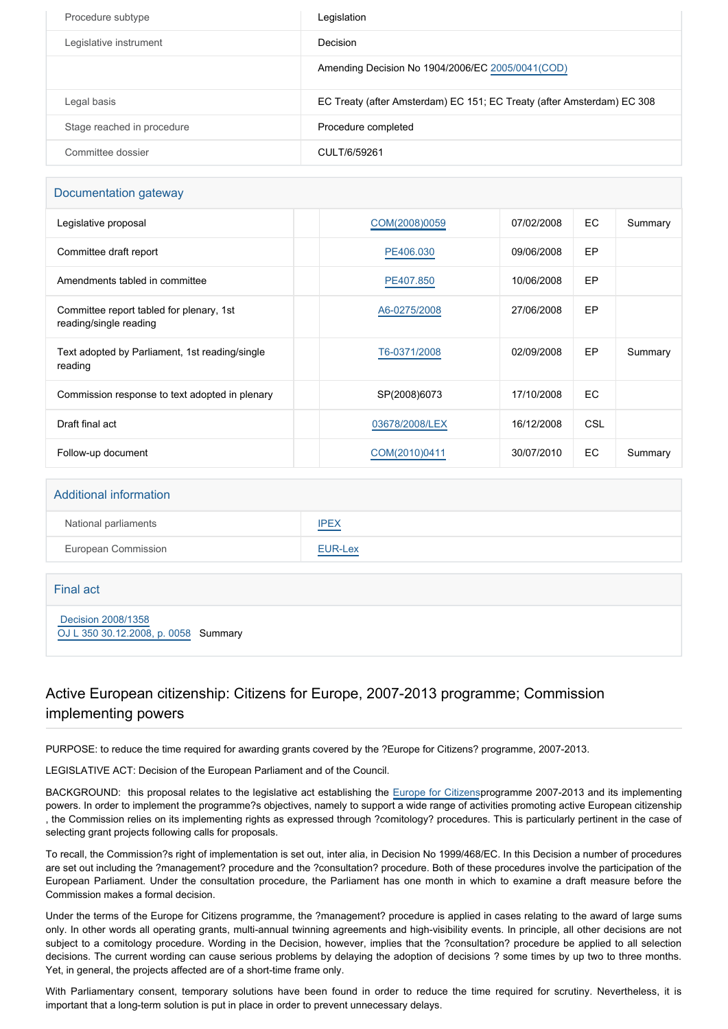| Procedure subtype          | Legislation                                                            |
|----------------------------|------------------------------------------------------------------------|
| Legislative instrument     | Decision                                                               |
|                            | Amending Decision No 1904/2006/EC 2005/0041(COD)                       |
| Legal basis                | EC Treaty (after Amsterdam) EC 151; EC Treaty (after Amsterdam) EC 308 |
| Stage reached in procedure | Procedure completed                                                    |
| Committee dossier          | CULT/6/59261                                                           |

#### Documentation gateway

| Legislative proposal                                               | COM(2008)0059  | 07/02/2008 | EC.        | Summary |
|--------------------------------------------------------------------|----------------|------------|------------|---------|
| Committee draft report                                             | PE406.030      | 09/06/2008 | EP         |         |
| Amendments tabled in committee                                     | PE407.850      | 10/06/2008 | EP         |         |
| Committee report tabled for plenary, 1st<br>reading/single reading | A6-0275/2008   | 27/06/2008 | EP         |         |
| Text adopted by Parliament, 1st reading/single<br>reading          | T6-0371/2008   | 02/09/2008 | <b>EP</b>  | Summary |
| Commission response to text adopted in plenary                     | SP(2008)6073   | 17/10/2008 | EC.        |         |
| Draft final act                                                    | 03678/2008/LEX | 16/12/2008 | <b>CSL</b> |         |
| Follow-up document                                                 | COM(2010)0411  | 30/07/2010 | EC.        | Summary |

#### Additional information

| National parliaments | <b>IPEX</b>                                             |
|----------------------|---------------------------------------------------------|
| European Commission  | <b>EUR-Lex</b><br>and the control of the control of the |

#### Final act

 [Decision 2008/1358](https://eur-lex.europa.eu/smartapi/cgi/sga_doc?smartapi!celexplus!prod!CELEXnumdoc&lg=EN&numdoc=32008D1358) [OJ L 350 30.12.2008, p. 0058](https://eur-lex.europa.eu/JOHtml.do?uri=OJ:L:2008:350:SOM:EN:HTML) Summary

#### Active European citizenship: Citizens for Europe, 2007-2013 programme; Commission implementing powers

PURPOSE: to reduce the time required for awarding grants covered by the ?Europe for Citizens? programme, 2007-2013.

LEGISLATIVE ACT: Decision of the European Parliament and of the Council.

BACKGROUND: this proposal relates to the legislative act establishing the [Europe for Citizens](http://www.europarl.europa.eu/oeil/FindByProcnum.do?lang=en&procnum=COD/2005/0041)programme 2007-2013 and its implementing powers. In order to implement the programme?s objectives, namely to support a wide range of activities promoting active European citizenship , the Commission relies on its implementing rights as expressed through ?comitology? procedures. This is particularly pertinent in the case of selecting grant projects following calls for proposals.

To recall, the Commission?s right of implementation is set out, inter alia, in Decision No 1999/468/EC. In this Decision a number of procedures are set out including the ?management? procedure and the ?consultation? procedure. Both of these procedures involve the participation of the European Parliament. Under the consultation procedure, the Parliament has one month in which to examine a draft measure before the Commission makes a formal decision.

Under the terms of the Europe for Citizens programme, the ?management? procedure is applied in cases relating to the award of large sums only. In other words all operating grants, multi-annual twinning agreements and high-visibility events. In principle, all other decisions are not subject to a comitology procedure. Wording in the Decision, however, implies that the ?consultation? procedure be applied to all selection decisions. The current wording can cause serious problems by delaying the adoption of decisions ? some times by up two to three months. Yet, in general, the projects affected are of a short-time frame only.

With Parliamentary consent, temporary solutions have been found in order to reduce the time required for scrutiny. Nevertheless, it is important that a long-term solution is put in place in order to prevent unnecessary delays.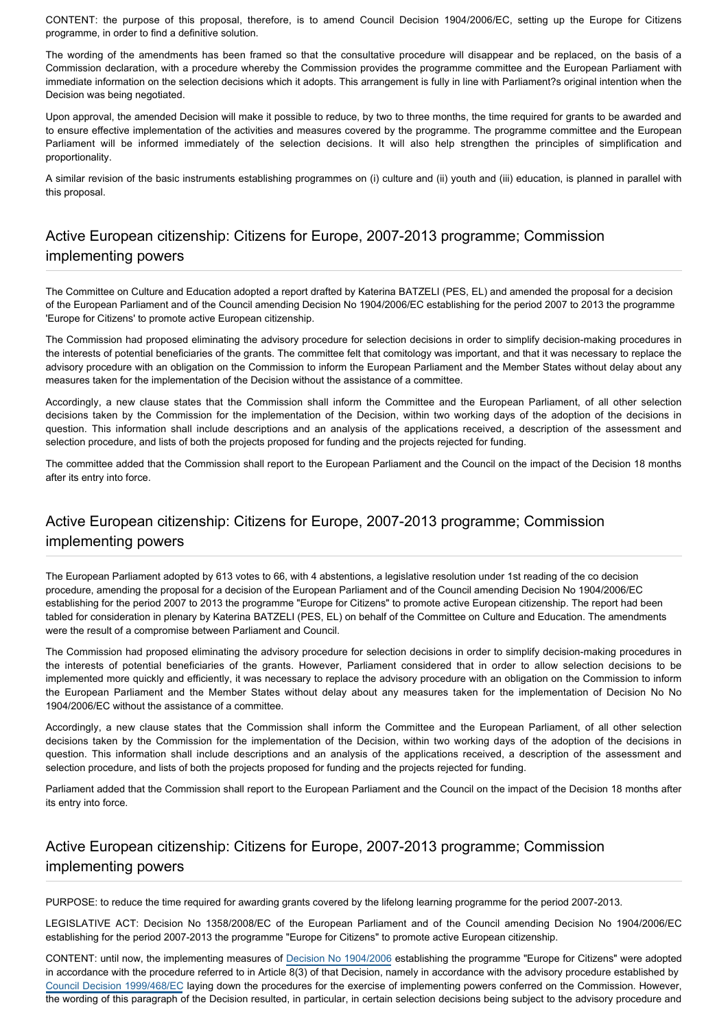CONTENT: the purpose of this proposal, therefore, is to amend Council Decision 1904/2006/EC, setting up the Europe for Citizens programme, in order to find a definitive solution.

The wording of the amendments has been framed so that the consultative procedure will disappear and be replaced, on the basis of a Commission declaration, with a procedure whereby the Commission provides the programme committee and the European Parliament with immediate information on the selection decisions which it adopts. This arrangement is fully in line with Parliament?s original intention when the Decision was being negotiated.

Upon approval, the amended Decision will make it possible to reduce, by two to three months, the time required for grants to be awarded and to ensure effective implementation of the activities and measures covered by the programme. The programme committee and the European Parliament will be informed immediately of the selection decisions. It will also help strengthen the principles of simplification and proportionality.

A similar revision of the basic instruments establishing programmes on (i) culture and (ii) youth and (iii) education, is planned in parallel with this proposal.

## Active European citizenship: Citizens for Europe, 2007-2013 programme; Commission implementing powers

The Committee on Culture and Education adopted a report drafted by Katerina BATZELI (PES, EL) and amended the proposal for a decision of the European Parliament and of the Council amending Decision No 1904/2006/EC establishing for the period 2007 to 2013 the programme 'Europe for Citizens' to promote active European citizenship.

The Commission had proposed eliminating the advisory procedure for selection decisions in order to simplify decision-making procedures in the interests of potential beneficiaries of the grants. The committee felt that comitology was important, and that it was necessary to replace the advisory procedure with an obligation on the Commission to inform the European Parliament and the Member States without delay about any measures taken for the implementation of the Decision without the assistance of a committee.

Accordingly, a new clause states that the Commission shall inform the Committee and the European Parliament, of all other selection decisions taken by the Commission for the implementation of the Decision, within two working days of the adoption of the decisions in question. This information shall include descriptions and an analysis of the applications received, a description of the assessment and selection procedure, and lists of both the projects proposed for funding and the projects rejected for funding.

The committee added that the Commission shall report to the European Parliament and the Council on the impact of the Decision 18 months after its entry into force.

### Active European citizenship: Citizens for Europe, 2007-2013 programme; Commission implementing powers

The European Parliament adopted by 613 votes to 66, with 4 abstentions, a legislative resolution under 1st reading of the co decision procedure, amending the proposal for a decision of the European Parliament and of the Council amending Decision No 1904/2006/EC establishing for the period 2007 to 2013 the programme "Europe for Citizens" to promote active European citizenship. The report had been tabled for consideration in plenary by Katerina BATZELI (PES, EL) on behalf of the Committee on Culture and Education. The amendments were the result of a compromise between Parliament and Council.

The Commission had proposed eliminating the advisory procedure for selection decisions in order to simplify decision-making procedures in the interests of potential beneficiaries of the grants. However, Parliament considered that in order to allow selection decisions to be implemented more quickly and efficiently, it was necessary to replace the advisory procedure with an obligation on the Commission to inform the European Parliament and the Member States without delay about any measures taken for the implementation of Decision No No 1904/2006/EC without the assistance of a committee.

Accordingly, a new clause states that the Commission shall inform the Committee and the European Parliament, of all other selection decisions taken by the Commission for the implementation of the Decision, within two working days of the adoption of the decisions in question. This information shall include descriptions and an analysis of the applications received, a description of the assessment and selection procedure, and lists of both the projects proposed for funding and the projects rejected for funding.

Parliament added that the Commission shall report to the European Parliament and the Council on the impact of the Decision 18 months after its entry into force.

#### Active European citizenship: Citizens for Europe, 2007-2013 programme; Commission implementing powers

PURPOSE: to reduce the time required for awarding grants covered by the lifelong learning programme for the period 2007-2013.

LEGISLATIVE ACT: Decision No 1358/2008/EC of the European Parliament and of the Council amending Decision No 1904/2006/EC establishing for the period 2007-2013 the programme "Europe for Citizens" to promote active European citizenship.

CONTENT: until now, the implementing measures of [Decision No 1904/2006](http://www.europarl.europa.eu/oeil/FindByProcnum.do?lang=en&procnum=COD/2005/0041) establishing the programme "Europe for Citizens" were adopted in accordance with the procedure referred to in Article 8(3) of that Decision, namely in accordance with the advisory procedure established by [Council Decision 1999/468/EC](http://www.europarl.europa.eu/oeil/FindByProcnum.do?lang=en&procnum=CNS/1998/0219) laying down the procedures for the exercise of implementing powers conferred on the Commission. However, the wording of this paragraph of the Decision resulted, in particular, in certain selection decisions being subject to the advisory procedure and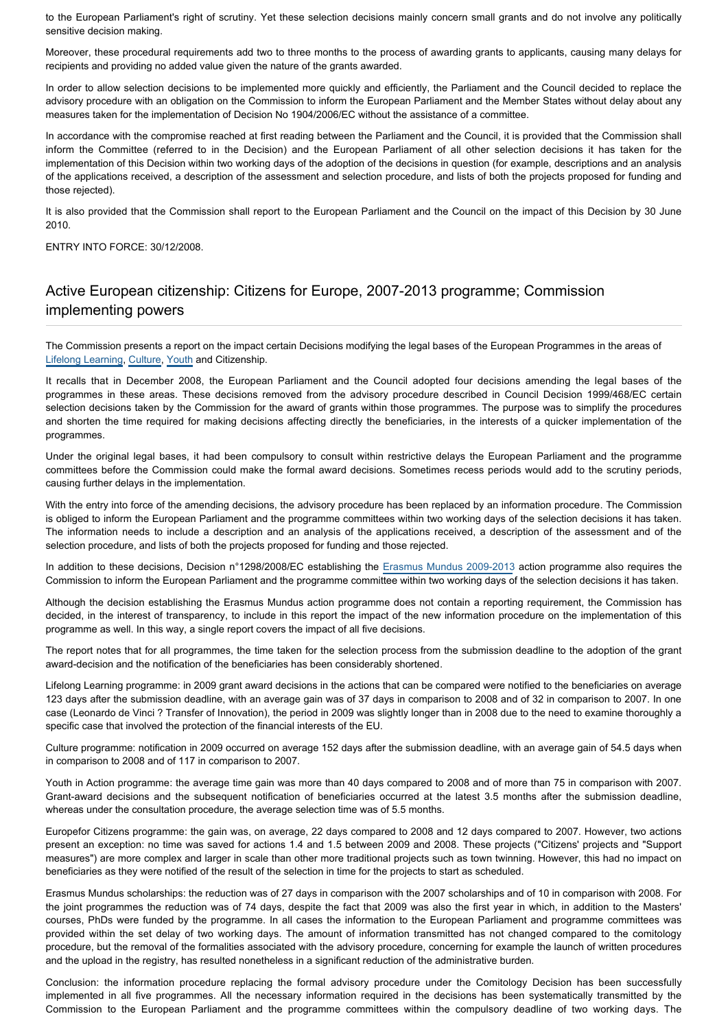to the European Parliament's right of scrutiny. Yet these selection decisions mainly concern small grants and do not involve any politically sensitive decision making.

Moreover, these procedural requirements add two to three months to the process of awarding grants to applicants, causing many delays for recipients and providing no added value given the nature of the grants awarded.

In order to allow selection decisions to be implemented more quickly and efficiently, the Parliament and the Council decided to replace the advisory procedure with an obligation on the Commission to inform the European Parliament and the Member States without delay about any measures taken for the implementation of Decision No 1904/2006/EC without the assistance of a committee.

In accordance with the compromise reached at first reading between the Parliament and the Council, it is provided that the Commission shall inform the Committee (referred to in the Decision) and the European Parliament of all other selection decisions it has taken for the implementation of this Decision within two working days of the adoption of the decisions in question (for example, descriptions and an analysis of the applications received, a description of the assessment and selection procedure, and lists of both the projects proposed for funding and those rejected).

It is also provided that the Commission shall report to the European Parliament and the Council on the impact of this Decision by 30 June 2010.

ENTRY INTO FORCE: 30/12/2008.

## Active European citizenship: Citizens for Europe, 2007-2013 programme; Commission implementing powers

The Commission presents a report on the impact certain Decisions modifying the legal bases of the European Programmes in the areas of [Lifelong Learning,](http://www.europarl.europa.eu/oeil/FindByProcnum.do?lang=en&procnum=COD/2008/0025) [Culture,](http://www.europarl.europa.eu/oeil/FindByProcnum.do?lang=en&procnum=COD/2008/0024) [Youth](http://www.europarl.europa.eu/oeil/FindByProcnum.do?lang=en&procnum=COD/2008/0023) and Citizenship.

It recalls that in December 2008, the European Parliament and the Council adopted four decisions amending the legal bases of the programmes in these areas. These decisions removed from the advisory procedure described in Council Decision 1999/468/EC certain selection decisions taken by the Commission for the award of grants within those programmes. The purpose was to simplify the procedures and shorten the time required for making decisions affecting directly the beneficiaries, in the interests of a quicker implementation of the programmes.

Under the original legal bases, it had been compulsory to consult within restrictive delays the European Parliament and the programme committees before the Commission could make the formal award decisions. Sometimes recess periods would add to the scrutiny periods, causing further delays in the implementation.

With the entry into force of the amending decisions, the advisory procedure has been replaced by an information procedure. The Commission is obliged to inform the European Parliament and the programme committees within two working days of the selection decisions it has taken. The information needs to include a description and an analysis of the applications received, a description of the assessment and of the selection procedure, and lists of both the projects proposed for funding and those rejected.

In addition to these decisions, Decision n°1298/2008/EC establishing the [Erasmus Mundus 2009-2013](http://www.europarl.europa.eu/oeil/FindByProcnum.do?lang=en&procnum=COD/2007/0145) action programme also requires the Commission to inform the European Parliament and the programme committee within two working days of the selection decisions it has taken.

Although the decision establishing the Erasmus Mundus action programme does not contain a reporting requirement, the Commission has decided, in the interest of transparency, to include in this report the impact of the new information procedure on the implementation of this programme as well. In this way, a single report covers the impact of all five decisions.

The report notes that for all programmes, the time taken for the selection process from the submission deadline to the adoption of the grant award-decision and the notification of the beneficiaries has been considerably shortened.

Lifelong Learning programme: in 2009 grant award decisions in the actions that can be compared were notified to the beneficiaries on average 123 days after the submission deadline, with an average gain was of 37 days in comparison to 2008 and of 32 in comparison to 2007. In one case (Leonardo de Vinci ? Transfer of Innovation), the period in 2009 was slightly longer than in 2008 due to the need to examine thoroughly a specific case that involved the protection of the financial interests of the EU.

Culture programme: notification in 2009 occurred on average 152 days after the submission deadline, with an average gain of 54.5 days when in comparison to 2008 and of 117 in comparison to 2007.

Youth in Action programme: the average time gain was more than 40 days compared to 2008 and of more than 75 in comparison with 2007. Grant-award decisions and the subsequent notification of beneficiaries occurred at the latest 3.5 months after the submission deadline, whereas under the consultation procedure, the average selection time was of 5.5 months.

Europefor Citizens programme: the gain was, on average, 22 days compared to 2008 and 12 days compared to 2007. However, two actions present an exception: no time was saved for actions 1.4 and 1.5 between 2009 and 2008. These projects ("Citizens' projects and "Support measures") are more complex and larger in scale than other more traditional projects such as town twinning. However, this had no impact on beneficiaries as they were notified of the result of the selection in time for the projects to start as scheduled.

Erasmus Mundus scholarships: the reduction was of 27 days in comparison with the 2007 scholarships and of 10 in comparison with 2008. For the joint programmes the reduction was of 74 days, despite the fact that 2009 was also the first year in which, in addition to the Masters' courses, PhDs were funded by the programme. In all cases the information to the European Parliament and programme committees was provided within the set delay of two working days. The amount of information transmitted has not changed compared to the comitology procedure, but the removal of the formalities associated with the advisory procedure, concerning for example the launch of written procedures and the upload in the registry, has resulted nonetheless in a significant reduction of the administrative burden.

Conclusion: the information procedure replacing the formal advisory procedure under the Comitology Decision has been successfully implemented in all five programmes. All the necessary information required in the decisions has been systematically transmitted by the Commission to the European Parliament and the programme committees within the compulsory deadline of two working days. The